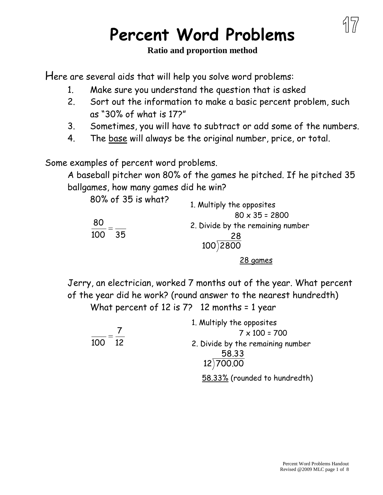## **Percent Word Problems**

## **Ratio and proportion method**

Here are several aids that will help you solve word problems:

- 1. Make sure you understand the question that is asked
- 2. Sort out the information to make a basic percent problem, such as "30% of what is 17?"
- 3. Sometimes, you will have to subtract or add some of the numbers.
- 4. The base will always be the original number, price, or total.

Some examples of percent word problems.

A baseball pitcher won 80% of the games he pitched. If he pitched 35 ballgames, how many games did he win?

| 80% of 35 is what? | 1. Multiply the opposites         |
|--------------------|-----------------------------------|
|                    | $80 \times 35 = 2800$             |
| 80                 | 2. Divide by the remaining number |
| 100<br>35          | 28                                |
|                    | 100)2800                          |
|                    | 28 games                          |

Jerry, an electrician, worked 7 months out of the year. What percent of the year did he work? (round answer to the nearest hundredth) What percent of 12 is 7? 12 months = 1 year

|           | 1. Multiply the opposites         |
|-----------|-----------------------------------|
|           | $7 \times 100 = 700$              |
| 100<br>12 | 2. Divide by the remaining number |
|           | 58.33                             |
|           | 12) 700.00                        |
|           | 58.33% (rounded to hundredth)     |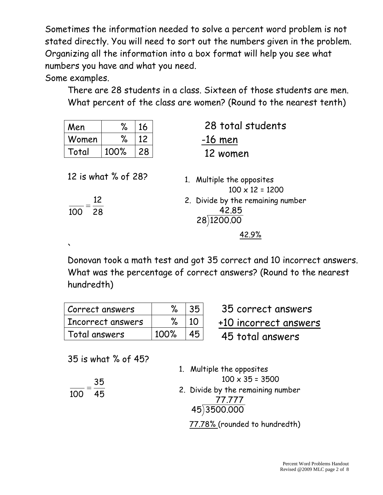Sometimes the information needed to solve a percent word problem is not stated directly. You will need to sort out the numbers given in the problem. Organizing all the information into a box format will help you see what numbers you have and what you need.

Some examples.

 $\ddot{\phantom{0}}$ 

There are 28 students in a class. Sixteen of those students are men. What percent of the class are women? (Round to the nearest tenth)

| Men                                    | %    | 16 | 28 total students                                                                                                  |
|----------------------------------------|------|----|--------------------------------------------------------------------------------------------------------------------|
| Women                                  | ℅    | 12 | $-16$ men                                                                                                          |
| Total                                  | 100% | 28 | 12 women                                                                                                           |
| 12 is what % of 28?<br>12<br>28<br>100 |      |    | Multiple the opposites<br>1.<br>$100 \times 12 = 1200$<br>2. Divide by the remaining number<br>42.85<br>28)1200.00 |

Donovan took a math test and got 35 correct and 10 incorrect answers. What was the percentage of correct answers? (Round to the nearest hundredth)

| Correct answers   |      | 35 <sup>1</sup> |
|-------------------|------|-----------------|
| Incorrect answers |      | $\overline{10}$ |
| Total answers     | 100% | 45              |

35 correct answers +10 incorrect answers

45 total answers

35 is what % of 45?

45 35

 $\frac{1}{100}$ 

| 1. Multiple the opposites         |
|-----------------------------------|
| $100 \times 35 = 3500$            |
| 2. Divide by the remaining number |
| 77.777                            |
| 45)3500.000                       |
| 77.78% (rounded to hundredth)     |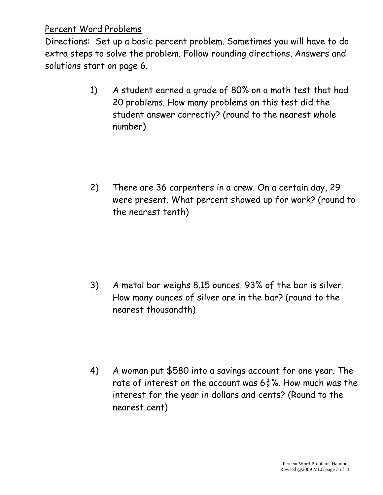## Percent Word Problems

Directions: Set up a basic percent problem. Sometimes you will have to do extra steps to solve the problem. Follow rounding directions. Answers and solutions start on page 6.

- 1) A student earned a grade of 80% on a math test that had 20 problems. How many problems on this test did the student answer correctly? (round to the nearest whole number)
- 2) There are 36 carpenters in a crew. On a certain day, 29 were present. What percent showed up for work? (round to the nearest tenth)

3) A metal bar weighs 8.15 ounces. 93% of the bar is silver. How many ounces of silver are in the bar? (round to the nearest thousandth)

4) A woman put \$580 into a savings account for one year. The rate of interest on the account was  $6\frac{1}{2}$ %. How much was the interest for the year in dollars and cents? (Round to the nearest cent)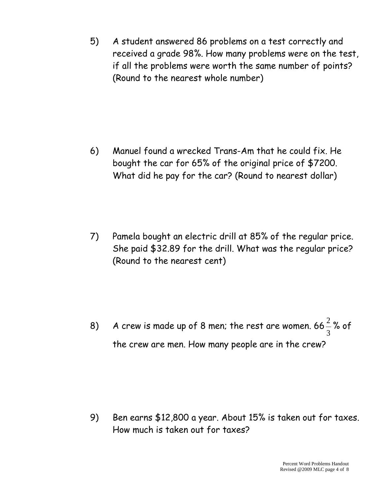5) A student answered 86 problems on a test correctly and received a grade 98%. How many problems were on the test, if all the problems were worth the same number of points? (Round to the nearest whole number)

6) Manuel found a wrecked Trans-Am that he could fix. He bought the car for 65% of the original price of \$7200. What did he pay for the car? (Round to nearest dollar)

7) Pamela bought an electric drill at 85% of the regular price. She paid \$32.89 for the drill. What was the regular price? (Round to the nearest cent)

8) A crew is made up of 8 men; the rest are women. 66 3  $\frac{2}{3}$ % of the crew are men. How many people are in the crew?

9) Ben earns \$12,800 a year. About 15% is taken out for taxes. How much is taken out for taxes?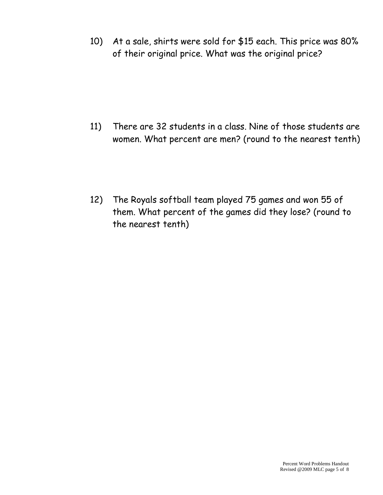10) At a sale, shirts were sold for \$15 each. This price was 80% of their original price. What was the original price?

11) There are 32 students in a class. Nine of those students are women. What percent are men? (round to the nearest tenth)

12) The Royals softball team played 75 games and won 55 of them. What percent of the games did they lose? (round to the nearest tenth)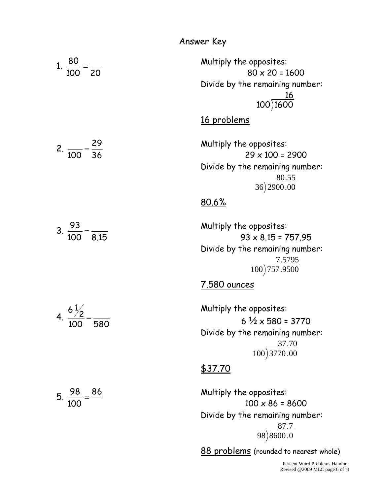Answer Key

1. 100 20 80 Multiply the opposites:  $80 \times 20 = 1600$ Divide by the remaining number: <u>16</u> 100 1600 16 problems 2. 36 29 100 Multiply the opposites:  $29 \times 100 = 2900$ Divide by the remaining number: 80.55 36 2900.00 80.6% 3. 100 8.15 93 Multiply the opposites:  $93 \times 8.15 = 757.95$ Divide by the remaining number: 7.5795 100 757.9500 7.580 ounces 4. 100 580  $6\frac{1}{2}$ Multiply the opposites:  $6 \frac{1}{2} \times 580 = 3770$ Divide by the remaining number: 37.70 100 3770 .00 \$37.70 5. 86 100 98 Multiply the opposites:  $100 \times 86 = 8600$ Divide by the remaining number: 87.7

> Percent Word Problems Handout Revised @2009 MLC page 6 of 8

98 8600 .0

88 problems (rounded to nearest whole)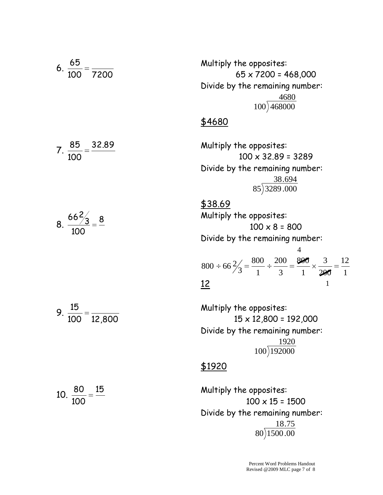6. 
$$
\frac{65}{100} = \frac{1200}{7200}
$$
  
\n6.  $\frac{65}{100} = \frac{3200}{7200}$   
\n6.  $\frac{65 \times 7200 = 468,000}{100 \times 32.80} = 468,000$   
\nDivide by the remaining number:  
\n $\frac{4680}{100 \times 32.89} = 3289$   
\nDivide by the remaining number:  
\n $\frac{38.694}{33289 \cdot 000}$   
\n $\frac{438.69}{85 \times 3289 \cdot 000}$   
\n $\frac{438.69}{85 \times 3289 \cdot 000}$   
\n $\frac{438.69}{85 \times 3289 \cdot 000}$   
\n $\frac{438.69}{85 \times 3289 \cdot 000}$   
\n $\frac{438.69}{85 \times 3289 \cdot 000}$   
\nMultiply the opposing number:  
\n $100 \times 8 = 800$   
\nDivide by the remaining number:  
\n $800 \div 66 \frac{2}{3} = \frac{800}{1} \div \frac{200}{3} = \frac{800}{1} \times \frac{3}{200} = \frac{12}{1}$   
\n $\frac{12}{100} = \frac{12}{12,800}$   
\nMultiply the opposites:  
\n $15 \times 12,800 = 192,000$   
\nDivide by the remaining number:  
\n $\frac{1920}{}$ 

$$
f_{\rm{max}}
$$

\$1920

Multiply the opposites:  $100 \times 15 = 1500$ Divide by the remaining number: 18.75 80 1500.00

100 192000

$$
10. \ \frac{80}{100} = \frac{15}{10}
$$